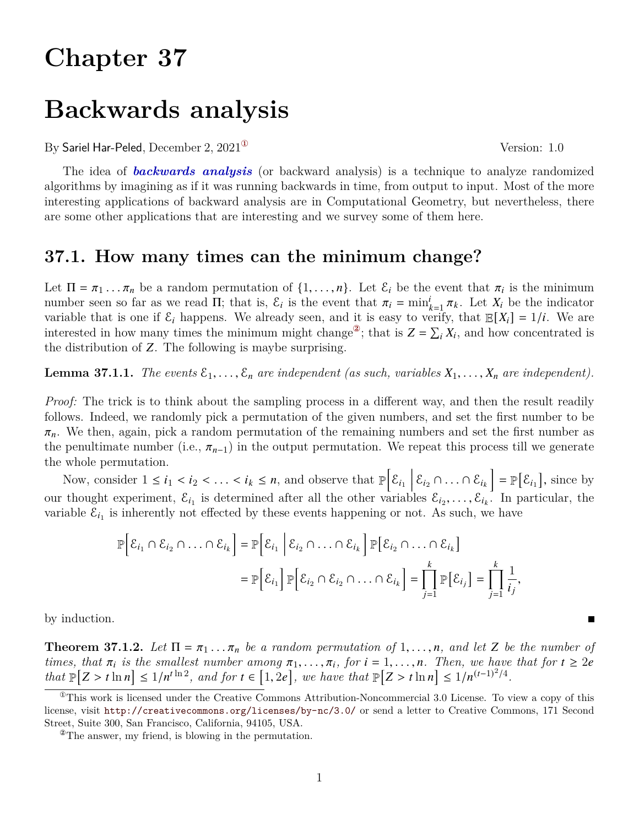# **Chapter 37**

# **Backwards analysis**

By Sariel Har-Peled, December 2,  $2021^{\circ}$  Version: 1.0

The idea of *backwards analysis* (or backward analysis) is a technique to analyze randomized algorithms by imagining as if it was running backwards in time, from output to input. Most of the more interesting applications of backward analysis are in Computational Geometry, but nevertheless, there are some other applications that are interesting and we survey some of them here.

## <span id="page-0-4"></span>**37.1. How many times can the minimum change?**

Let  $\Pi = \pi_1 \dots \pi_n$  be a random permutation of  $\{1, \dots, n\}$ . Let  $\mathcal{E}_i$  be the event that  $\pi_i$  is the minimum number seen so far as we read  $\Pi$ ; that is,  $\mathcal{E}_i$  is the event that  $\pi_i = \min_{k=1}^i \pi_k$ . Let  $X_i$  be the indicator variable that is one if  $\mathcal{E}_i$  happens. We already seen, and it is easy to verify, that  $\mathbb{E}[X_i] = 1/i$ . We are interested in how many times the minimum might change<sup>2</sup>; that is  $Z = \sum_i X_i$ , and how concentrated is the distribution of Z. The following is maybe surprising.

<span id="page-0-3"></span>**Lemma 37.1.1.** *The events*  $\mathcal{E}_1, \ldots, \mathcal{E}_n$  are independent (as such, variables  $X_1, \ldots, X_n$  are independent).

*Proof:* The trick is to think about the sampling process in a different way, and then the result readily follows. Indeed, we randomly pick a permutation of the given numbers, and set the first number to be  $\pi_n$ . We then, again, pick a random permutation of the remaining numbers and set the first number as the penultimate number (i.e.,  $\pi_{n-1}$ ) in the output permutation. We repeat this process till we generate the whole permutation.

Now, consider  $1 \leq i_1 < i_2 < \ldots < i_k \leq n$ , and observe that  $\mathbb{P}\Big[\mathcal{E}_{i_1} \Big| \mathcal{E}_{i_2} \cap \ldots \cap \mathcal{E}_{i_k}\Big] = \mathbb{P}\Big[\mathcal{E}_{i_1}\Big]$ , since by our thought experiment,  $\mathcal{E}_{i_1}$  is determined after all the other variables  $\mathcal{E}_{i_2},\ldots,\mathcal{E}_{i_k}$ . In particular, the variable  $\mathcal{E}_{i_1}$  is inherently not effected by these events happening or not. As such, we have

$$
\mathbb{P}\Big[\mathcal{E}_{i_1} \cap \mathcal{E}_{i_2} \cap \ldots \cap \mathcal{E}_{i_k}\Big] = \mathbb{P}\Big[\mathcal{E}_{i_1} \Big|\mathcal{E}_{i_2} \cap \ldots \cap \mathcal{E}_{i_k}\Big]\mathbb{P}\Big[\mathcal{E}_{i_2} \cap \ldots \cap \mathcal{E}_{i_k}\Big]
$$

$$
= \mathbb{P}\Big[\mathcal{E}_{i_1}\Big]\mathbb{P}\Big[\mathcal{E}_{i_2} \cap \mathcal{E}_{i_2} \cap \ldots \cap \mathcal{E}_{i_k}\Big] = \prod_{j=1}^k \mathbb{P}\Big[\mathcal{E}_{i_j}\Big] = \prod_{j=1}^k \frac{1}{i_j},
$$

by induction.

<span id="page-0-2"></span>**Theorem 37.1.2.** Let  $\Pi = \pi_1 \dots \pi_n$  be a random permutation of 1, ..., *n*, and let Z be the number of *times, that*  $\pi_i$  *is the smallest number among*  $\pi_1, \ldots, \pi_i$ *, for*  $i = 1, \ldots, n$ *. Then, we have that for*  $t \geq 2e$  $\int \mathbb{R}^n |Z \rangle \leq \ln n \leq \frac{1}{n^{t \ln 2}}$ , and for  $t \in [1, 2e]$ , we have that  $\mathbb{P}[Z \rangle \leq \ln n \leq \frac{1}{n^{(t-1)^2/4}}$ .

<span id="page-0-0"></span><sup>&</sup>lt;sup>This</sup> work is licensed under the Creative Commons Attribution-Noncommercial 3.0 License. To view a copy of this license, visit <http://creativecommons.org/licenses/by-nc/3.0/> or send a letter to Creative Commons, 171 Second Street, Suite 300, San Francisco, California, 94105, USA.

<span id="page-0-1"></span><sup>②</sup>The answer, my friend, is blowing in the permutation.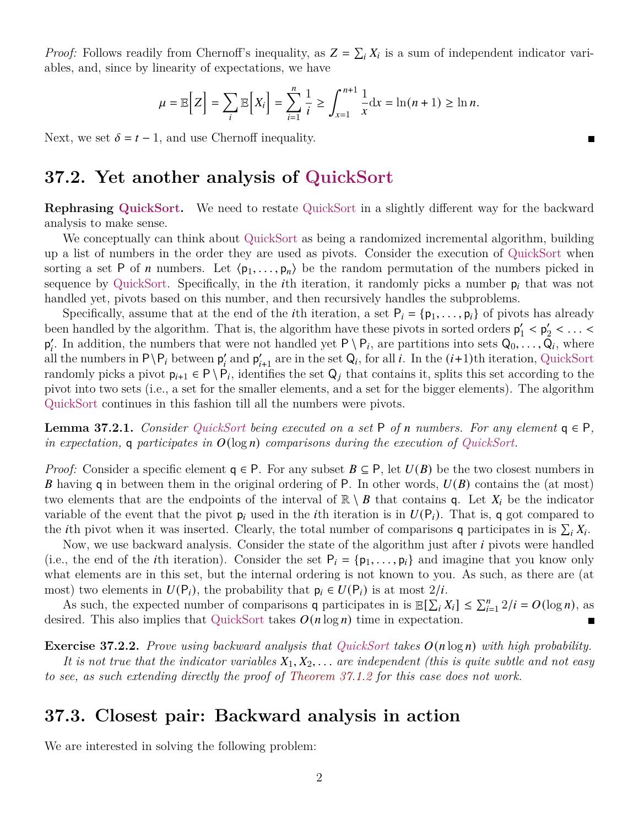*Proof:* Follows readily from Chernoff's inequality, as  $Z = \sum_i X_i$  is a sum of independent indicator variables, and, since by linearity of expectations, we have

$$
\mu = \mathbb{E}\Big[Z\Big] = \sum_{i} \mathbb{E}\Big[X_i\Big] = \sum_{i=1}^{n} \frac{1}{i} \ge \int_{x=1}^{n+1} \frac{1}{x} dx = \ln(n+1) \ge \ln n.
$$

Next, we set  $\delta = t - 1$ , and use Chernoff inequality.

## **37.2. Yet another analysis of QuickSort**

**Rephrasing QuickSort.** We need to restate QuickSort in a slightly different way for the backward analysis to make sense.

We conceptually can think about QuickSort as being a randomized incremental algorithm, building up a list of numbers in the order they are used as pivots. Consider the execution of QuickSort when sorting a set P of *n* numbers. Let  $\langle p_1, \ldots, p_n \rangle$  be the random permutation of the numbers picked in sequence by QuickSort. Specifically, in the *i*th iteration, it randomly picks a number  $p_i$  that was not handled yet, pivots based on this number, and then recursively handles the subproblems.

Specifically, assume that at the end of the *i*th iteration, a set  $P_i = \{p_1, \ldots, p_i\}$  of pivots has already been handled by the algorithm. That is, the algorithm have these pivots in sorted orders  $p'_1$  $y'_1 < p'_2$  $\frac{1}{2}$  < ... <  $p'_i$ . In addition, the numbers that were not handled yet  $P \setminus P_i$ , are partitions into sets  $Q_0, \ldots, Q_i$ , where all the numbers in  $P \ P_i$  between  $p'_i$  and  $p'_{i+1}$  are in the set  $Q_i$ , for all i. In the  $(i+1)$ th iteration, QuickSort randomly picks a pivot  $p_{i+1} \in P \setminus P_i$ , identifies the set  $Q_j$  that contains it, splits this set according to the pivot into two sets (i.e., a set for the smaller elements, and a set for the bigger elements). The algorithm QuickSort continues in this fashion till all the numbers were pivots.

**Lemma 37.2.1.** *Consider QuickSort being executed on a set*  $P$  *of*  $n$  *numbers. For any element*  $q \in P$ *,* in expectation, **q** participates in  $O(\log n)$  comparisons during the execution of QuickSort.

*Proof:* Consider a specific element  $q \in P$ . For any subset  $B \subseteq P$ , let  $U(B)$  be the two closest numbers in **B** having q in between them in the original ordering of P. In other words,  $U(B)$  contains the (at most) two elements that are the endpoints of the interval of  $\mathbb{R} \setminus B$  that contains q. Let  $X_i$  be the indicator variable of the event that the pivot  $p_i$  used in the *i*th iteration is in  $U(P_i)$ . That is, q got compared to the *i*th pivot when it was inserted. Clearly, the total number of comparisons **q** participates in is  $\sum_i X_i$ .

Now, we use backward analysis. Consider the state of the algorithm just after  $i$  pivots were handled (i.e., the end of the *i*th iteration). Consider the set  $P_i = \{p_1, \ldots, p_i\}$  and imagine that you know only what elements are in this set, but the internal ordering is not known to you. As such, as there are (at most) two elements in  $U(P_i)$ , the probability that  $p_i \in U(P_i)$  is at most  $2/i$ .

As such, the expected number of comparisons q participates in is  $\mathbb{E}[\sum_{i=1}^{n} X_i] \leq \sum_{i=1}^{n} 2/i = O(\log n)$ , as desired. This also implies that QuickSort takes  $O(n \log n)$  time in expectation.  $\blacksquare$ 

**Exercise 37.2.2.** *Prove using backward analysis that QuickSort takes*  $O(n \log n)$  *with high probability.* It is not true that the indicator variables  $X_1, X_2, \ldots$  are independent (this is quite subtle and not easy *to see, as such extending directly the proof of [Theorem 37.1.2](#page-0-2) for this case does not work.*

# <span id="page-1-0"></span>**37.3. Closest pair: Backward analysis in action**

We are interested in solving the following problem: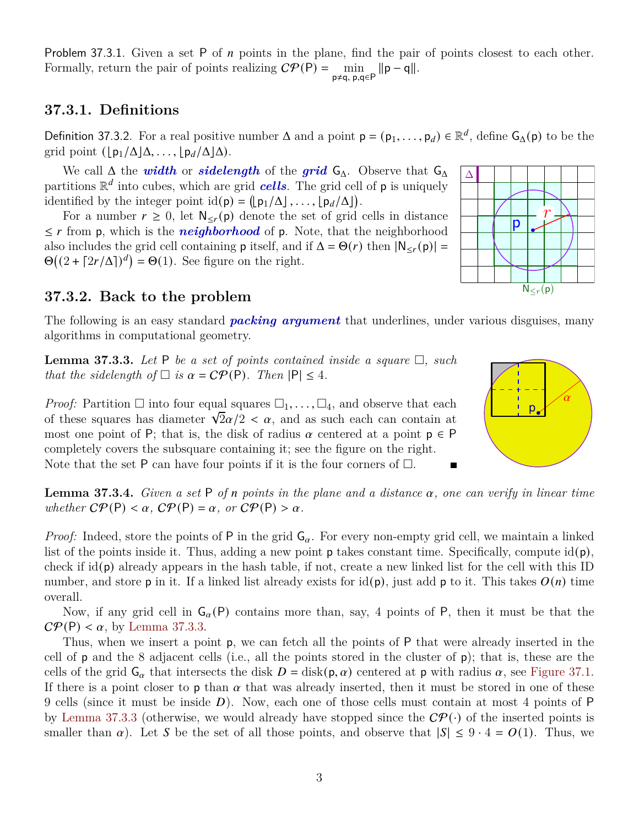Problem 37.3.1. Given a set P of  $n$  points in the plane, find the pair of points closest to each other. Formally, return the pair of points realizing  $\mathcal{CP}(\mathsf{P}) = \min_{\mathsf{p} \neq \mathsf{q}, \mathsf{p}, \mathsf{q} \in \mathsf{P}} ||\mathsf{p} - \mathsf{q}||.$ 

## **37.3.1. Definitions**

Definition 37.3.2. For a real positive number  $\Delta$  and a point  $p = (p_1, \ldots, p_d) \in \mathbb{R}^d$ , define  $G_{\Delta}(p)$  to be the grid point  $(\lfloor p_1/\Delta\rfloor\Delta, \ldots, \lfloor p_d/\Delta\rfloor\Delta)$ .

We call  $\Delta$  the *width* or *sidelength* of the *grid*  $G_{\Delta}$ . Observe that  $G_{\Delta}$ partitions  $\mathbb{R}^d$  into cubes, which are grid *cells*. The grid cell of **p** is uniquely identified by the integer point  $id(p) = (\lfloor p_1/\Delta \rfloor, \ldots, \lfloor p_d/\Delta \rfloor)$ .

For a number  $r \geq 0$ , let  $\mathsf{N}_{\leq r}(\mathsf{p})$  denote the set of grid cells in distance  $\leq r$  from p, which is the *neighborhood* of p. Note, that the neighborhood also includes the grid cell containing **p** itself, and if  $\Delta = \Theta(r)$  then  $|N_{\leq r}(p)| =$  $\Theta((2 + \lceil 2r/\Delta \rceil)^d) = \Theta(1)$ . See figure on the right.

## **37.3.2. Back to the problem**

The following is an easy standard *packing argument* that underlines, under various disguises, many algorithms in computational geometry.

<span id="page-2-0"></span>**Lemma 37.3.3.** Let P be a set of points contained inside a square  $\Box$ , such *that the sidelength of*  $\Box$  *is*  $\alpha = \mathcal{CP}(\mathsf{P})$ *. Then*  $|\mathsf{P}| \leq 4$ *.* 

*Proof:* Partition  $\Box$  into four equal squares  $\Box_1, \ldots, \Box_4$ , and observe that each *Proof:* Partition  $\Box$  into four equal squares  $\Box_1, \Box, \Box_4$ , and observe that each of these squares has diameter  $\sqrt{2}\alpha/2 < \alpha$ , and as such each can contain at most one point of P; that is, the disk of radius  $\alpha$  centered at a point  $p \in P$ completely covers the subsquare containing it; see the figure on the right. Note that the set P can have four points if it is the four corners of  $\Box$ .

<span id="page-2-1"></span>**Lemma 37.3.4.** *Given a set*  $P$  *of*  $n$  *points in the plane and a distance*  $\alpha$ *, one can verify in linear time whether*  $\mathcal{CP}(\mathsf{P}) < \alpha$ ,  $\mathcal{CP}(\mathsf{P}) = \alpha$ , or  $\mathcal{CP}(\mathsf{P}) > \alpha$ .

*Proof:* Indeed, store the points of P in the grid  $G_{\alpha}$ . For every non-empty grid cell, we maintain a linked list of the points inside it. Thus, adding a new point **p** takes constant time. Specifically, compute  $id(p)$ , check if id(p) already appears in the hash table, if not, create a new linked list for the cell with this ID number, and store p in it. If a linked list already exists for  $id(p)$ , just add p to it. This takes  $O(n)$  time overall.

Now, if any grid cell in  $G_{\alpha}(P)$  contains more than, say, 4 points of P, then it must be that the  $\mathcal{CP}(\mathsf{P}) < \alpha$ , by [Lemma 37.3.3.](#page-2-0)

Thus, when we insert a point p, we can fetch all the points of P that were already inserted in the cell of p and the 8 adjacent cells (i.e., all the points stored in the cluster of p); that is, these are the cells of the grid  $G_{\alpha}$  that intersects the disk  $D = \text{disk}(p, \alpha)$  centered at p with radius  $\alpha$ , see [Figure 37.1.](#page-3-0) If there is a point closer to  $p$  than  $\alpha$  that was already inserted, then it must be stored in one of these 9 cells (since it must be inside  $D$ ). Now, each one of those cells must contain at most 4 points of  $P$ by [Lemma 37.3.3](#page-2-0) (otherwise, we would already have stopped since the  $\mathcal{CP}(\cdot)$  of the inserted points is smaller than  $\alpha$ ). Let S be the set of all those points, and observe that  $|S| \leq 9 \cdot 4 = O(1)$ . Thus, we



α

 $\overline{p}$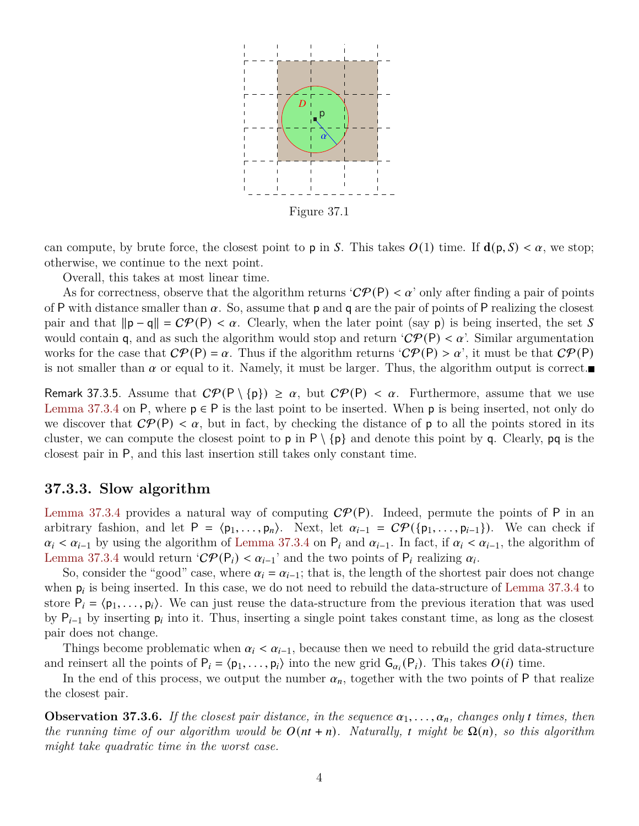<span id="page-3-0"></span>

Figure 37.1

can compute, by brute force, the closest point to **p** in S. This takes  $O(1)$  time. If  $d(p, S) < \alpha$ , we stop; otherwise, we continue to the next point.

Overall, this takes at most linear time.

As for correctness, observe that the algorithm returns ' $\mathcal{CP}(P) < \alpha$ ' only after finding a pair of points of P with distance smaller than  $\alpha$ . So, assume that  $p$  and  $q$  are the pair of points of P realizing the closest pair and that  $\|\mathbf{p} - \mathbf{q}\| = C\mathcal{P}(\mathbf{P}) < \alpha$ . Clearly, when the later point (say p) is being inserted, the set S would contain q, and as such the algorithm would stop and return ' $\mathcal{CP}(\mathsf{P}) < \alpha$ '. Similar argumentation works for the case that  $\mathcal{CP}(P) = \alpha$ . Thus if the algorithm returns  $\mathcal{CP}(P) > \alpha'$ , it must be that  $\mathcal{CP}(P)$ is not smaller than  $\alpha$  or equal to it. Namely, it must be larger. Thus, the algorithm output is correct.

<span id="page-3-1"></span>Remark 37.3.5. Assume that  $\mathcal{CP}(\mathsf{P} \setminus \{\mathsf{p}\}) \geq \alpha$ , but  $\mathcal{CP}(\mathsf{P}) < \alpha$ . Furthermore, assume that we use [Lemma 37.3.4](#page-2-1) on P, where  $p \in P$  is the last point to be inserted. When p is being inserted, not only do we discover that  $\mathcal{CP}(\mathsf{P}) < \alpha$ , but in fact, by checking the distance of **p** to all the points stored in its cluster, we can compute the closest point to **p** in  $P \setminus \{p\}$  and denote this point by **q**. Clearly, **pq** is the closest pair in P, and this last insertion still takes only constant time.

## **37.3.3. Slow algorithm**

[Lemma 37.3.4](#page-2-1) provides a natural way of computing  $\mathcal{CP}(P)$ . Indeed, permute the points of P in an arbitrary fashion, and let  $P = \langle p_1, \ldots, p_n \rangle$ . Next, let  $\alpha_{i-1} = C\mathcal{P}(\{p_1, \ldots, p_{i-1}\})$ . We can check if  $\alpha_i < \alpha_{i-1}$  by using the algorithm of [Lemma 37.3.4](#page-2-1) on  $P_i$  and  $\alpha_{i-1}$ . In fact, if  $\alpha_i < \alpha_{i-1}$ , the algorithm of [Lemma 37.3.4](#page-2-1) would return ' $\mathcal{CP}(\mathsf{P}_i) < \alpha_{i-1}$ ' and the two points of  $\mathsf{P}_i$  realizing  $\alpha_i$ .

So, consider the "good" case, where  $\alpha_i = \alpha_{i-1}$ ; that is, the length of the shortest pair does not change when  $p_i$  is being inserted. In this case, we do not need to rebuild the data-structure of [Lemma 37.3.4](#page-2-1) to store  $P_i = \langle p_1, \ldots, p_i \rangle$ . We can just reuse the data-structure from the previous iteration that was used by  $P_{i-1}$  by inserting  $p_i$  into it. Thus, inserting a single point takes constant time, as long as the closest pair does not change.

Things become problematic when  $\alpha_i < \alpha_{i-1}$ , because then we need to rebuild the grid data-structure and reinsert all the points of  $P_i = \langle p_1, \ldots, p_i \rangle$  into the new grid  $G_{\alpha_i}(P_i)$ . This takes  $O(i)$  time.

In the end of this process, we output the number  $\alpha_n$ , together with the two points of P that realize the closest pair.

<span id="page-3-2"></span>**Observation 37.3.6.** If the closest pair distance, in the sequence  $\alpha_1, \ldots, \alpha_n$ , changes only t times, then *the running time of our algorithm would be*  $O(nt + n)$ *. Naturally, t might be*  $\Omega(n)$ *, so this algorithm might take quadratic time in the worst case.*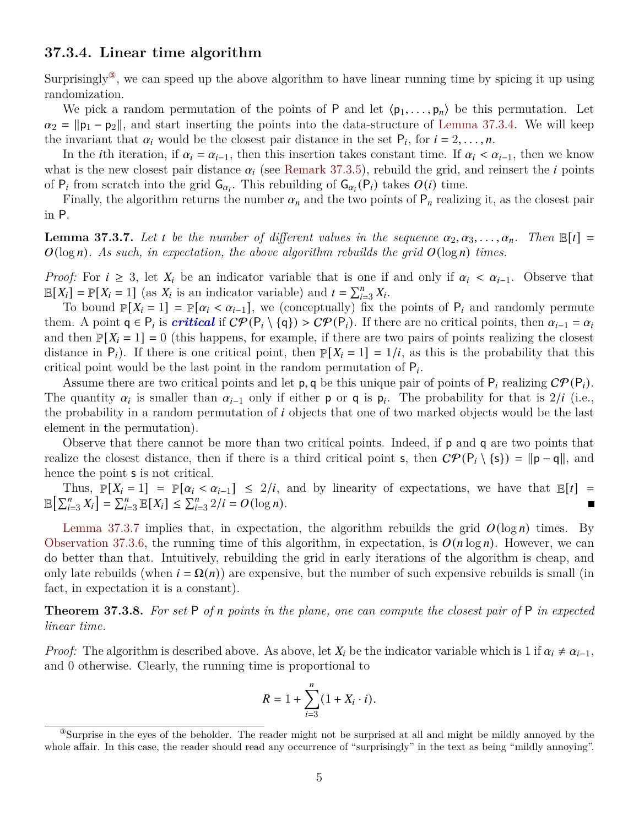## **37.3.4. Linear time algorithm**

Surprisingly<sup>3</sup>, we can speed up the above algorithm to have linear running time by spicing it up using randomization.

We pick a random permutation of the points of P and let  $\langle p_1, \ldots, p_n \rangle$  be this permutation. Let  $\alpha_2 = ||\mathbf{p}_1 - \mathbf{p}_2||$ , and start inserting the points into the data-structure of [Lemma 37.3.4.](#page-2-1) We will keep the invariant that  $\alpha_i$  would be the closest pair distance in the set  $P_i$ , for  $i = 2, \ldots, n$ .

In the *i*th iteration, if  $\alpha_i = \alpha_{i-1}$ , then this insertion takes constant time. If  $\alpha_i < \alpha_{i-1}$ , then we know what is the new closest pair distance  $\alpha_i$  (see [Remark 37.3.5\)](#page-3-1), rebuild the grid, and reinsert the *i* points of  $P_i$  from scratch into the grid  $G_{\alpha_i}$ . This rebuilding of  $G_{\alpha_i}(P_i)$  takes  $O(i)$  time.

Finally, the algorithm returns the number  $\alpha_n$  and the two points of  $P_n$  realizing it, as the closest pair in P.

<span id="page-4-1"></span>**Lemma 37.3.7.** Let t be the number of different values in the sequence  $\alpha_2, \alpha_3, \ldots, \alpha_n$ . Then  $\mathbb{E}[t] =$  $O(\log n)$ . As such, in expectation, the above algorithm rebuilds the grid  $O(\log n)$  times.

*Proof:* For  $i \geq 3$ , let  $X_i$  be an indicator variable that is one if and only if  $\alpha_i < \alpha_{i-1}$ . Observe that  $\mathbb{E}[X_i] = \mathbb{P}[X_i = 1]$  (as  $X_i$  is an indicator variable) and  $t = \sum_{i=3}^{n} X_i$ .

To bound  $\mathbb{P}[X_i = 1] = \mathbb{P}[\alpha_i < \alpha_{i-1}]$ , we (conceptually) fix the points of  $P_i$  and randomly permute them. A point  $q \in P_i$  is *critical* if  $C\mathcal{P}(P_i \setminus \{q\}) > C\mathcal{P}(P_i)$ . If there are no critical points, then  $\alpha_{i-1} = \alpha_i$ and then  $\mathbb{P}[X_i = 1] = 0$  (this happens, for example, if there are two pairs of points realizing the closest distance in  $P_i$ ). If there is one critical point, then  $\mathbb{P}[X_i = 1] = 1/i$ , as this is the probability that this critical point would be the last point in the random permutation of  $P_i$ .

Assume there are two critical points and let **p**, q be this unique pair of points of  $P_i$  realizing  $\mathcal{CP}(P_i)$ . The quantity  $\alpha_i$  is smaller than  $\alpha_{i-1}$  only if either **p** or **q** is  $p_i$ . The probability for that is  $2/i$  (i.e., the probability in a random permutation of  $i$  objects that one of two marked objects would be the last element in the permutation).

Observe that there cannot be more than two critical points. Indeed, if p and q are two points that realize the closest distance, then if there is a third critical point s, then  $\mathcal{CP}(\mathsf{P}_i \setminus \{s\}) = ||\mathsf{p} - \mathsf{q}||$ , and hence the point **s** is not critical.

Thus,  $\mathbb{P}[X_i = 1] = \mathbb{P}[\alpha_i < \alpha_{i-1}] \leq 2/i$ , and by linearity of expectations, we have that  $\mathbb{E}[t] =$  $\mathbb{E}\left[\sum_{i=3}^{n} X_i\right] = \sum_{i=3}^{n} \mathbb{E}[X_i] \leq \sum_{i=3}^{n} 2/i = O(\log n).$  $\blacksquare$ 

[Lemma 37.3.7](#page-4-1) implies that, in expectation, the algorithm rebuilds the grid  $O(\log n)$  times. By [Observation 37.3.6,](#page-3-2) the running time of this algorithm, in expectation, is  $O(n \log n)$ . However, we can do better than that. Intuitively, rebuilding the grid in early iterations of the algorithm is cheap, and only late rebuilds (when  $i = \Omega(n)$ ) are expensive, but the number of such expensive rebuilds is small (in fact, in expectation it is a constant).

<span id="page-4-2"></span>**Theorem 37.3.8.** *For set* P *of points in the plane, one can compute the closest pair of* P *in expected linear time.*

*Proof:* The algorithm is described above. As above, let  $X_i$  be the indicator variable which is 1 if  $\alpha_i \neq \alpha_{i-1}$ , and 0 otherwise. Clearly, the running time is proportional to

$$
R = 1 + \sum_{i=3}^{n} (1 + X_i \cdot i).
$$

<span id="page-4-0"></span><sup>③</sup>Surprise in the eyes of the beholder. The reader might not be surprised at all and might be mildly annoyed by the whole affair. In this case, the reader should read any occurrence of "surprisingly" in the text as being "mildly annoying".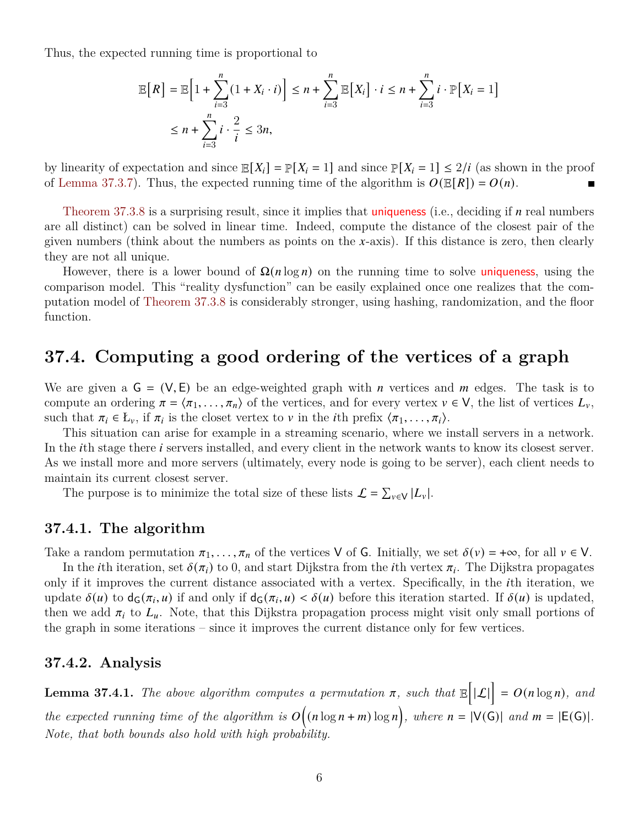Thus, the expected running time is proportional to

$$
\mathbb{E}\big[R\big] = \mathbb{E}\big[1 + \sum_{i=3}^{n} (1 + X_i \cdot i)\big] \le n + \sum_{i=3}^{n} \mathbb{E}\big[X_i\big] \cdot i \le n + \sum_{i=3}^{n} i \cdot \mathbb{P}\big[X_i = 1\big]
$$
  

$$
\le n + \sum_{i=3}^{n} i \cdot \frac{2}{i} \le 3n,
$$

by linearity of expectation and since  $\mathbb{E}[X_i] = \mathbb{P}[X_i = 1]$  and since  $\mathbb{P}[X_i = 1] \leq 2/i$  (as shown in the proof of [Lemma 37.3.7\)](#page-4-1). Thus, the expected running time of the algorithm is  $O(E[R]) = O(n)$ .

[Theorem 37.3.8](#page-4-2) is a surprising result, since it implies that uniqueness (i.e., deciding if  $n$  real numbers are all distinct) can be solved in linear time. Indeed, compute the distance of the closest pair of the given numbers (think about the numbers as points on the x-axis). If this distance is zero, then clearly they are not all unique.

However, there is a lower bound of  $\Omega(n \log n)$  on the running time to solve uniqueness, using the comparison model. This "reality dysfunction" can be easily explained once one realizes that the computation model of [Theorem 37.3.8](#page-4-2) is considerably stronger, using hashing, randomization, and the floor function.

# <span id="page-5-0"></span>**37.4. Computing a good ordering of the vertices of a graph**

We are given a  $G = (V, E)$  be an edge-weighted graph with *n* vertices and *m* edges. The task is to compute an ordering  $\pi = \langle \pi_1, \ldots, \pi_n \rangle$  of the vertices, and for every vertex  $v \in V$ , the list of vertices  $L_v$ , such that  $\pi_i \in L_{\nu}$ , if  $\pi_i$  is the closet vertex to  $\nu$  in the *i*th prefix  $\langle \pi_1, \ldots, \pi_i \rangle$ .

This situation can arise for example in a streaming scenario, where we install servers in a network. In the *i*th stage there *i* servers installed, and every client in the network wants to know its closest server. As we install more and more servers (ultimately, every node is going to be server), each client needs to maintain its current closest server.

The purpose is to minimize the total size of these lists  $\mathcal{L} = \sum_{v \in V} |L_v|$ .

### **37.4.1. The algorithm**

Take a random permutation  $\pi_1, \ldots, \pi_n$  of the vertices V of G. Initially, we set  $\delta(v) = +\infty$ , for all  $v \in V$ .

In the *i*th iteration, set  $\delta(\pi_i)$  to 0, and start Dijkstra from the *i*th vertex  $\pi_i$ . The Dijkstra propagates only if it improves the current distance associated with a vertex. Specifically, in the th iteration, we update  $\delta(u)$  to  $d_G(\pi_i, u)$  if and only if  $d_G(\pi_i, u) < \delta(u)$  before this iteration started. If  $\delta(u)$  is updated, then we add  $\pi_i$  to  $L_u$ . Note, that this Dijkstra propagation process might visit only small portions of the graph in some iterations – since it improves the current distance only for few vertices.

## **37.4.2. Analysis**

**Lemma 37.4.1.** The above algorithm computes a permutation  $\pi$ , such that  $\mathbb{E}[\mathcal{L}] = O(n \log n)$ , and *the expected running time of the algorithm is*  $O((n \log n + m) \log n)$ , where  $n = |V(G)|$  and  $m = |E(G)|$ . *Note, that both bounds also hold with high probability.*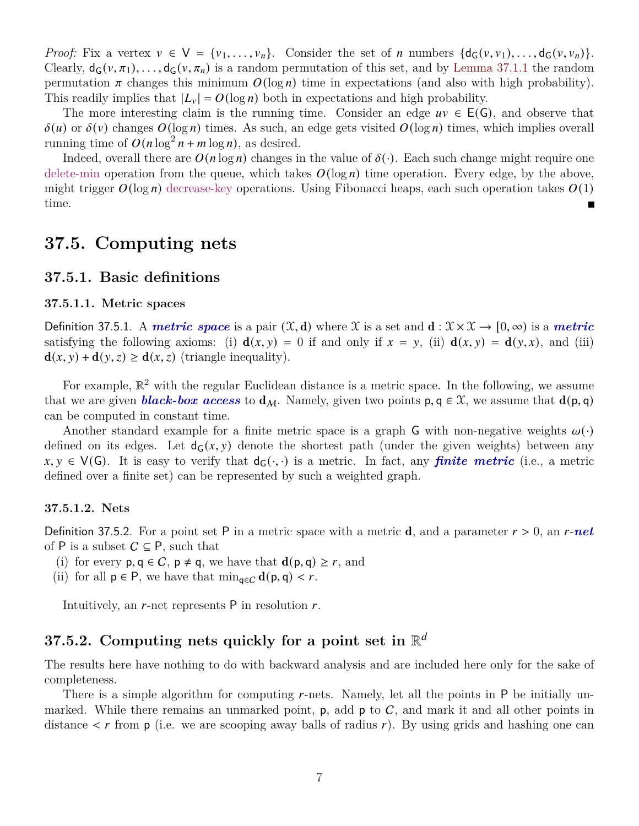*Proof:* Fix a vertex  $v \in V = \{v_1, \ldots, v_n\}$ . Consider the set of *n* numbers  $\{d_G(v, v_1), \ldots, d_G(v, v_n)\}$ . Clearly,  $d_G(v, \pi_1), \ldots, d_G(v, \pi_n)$  is a random permutation of this set, and by [Lemma 37.1.1](#page-0-3) the random permutation  $\pi$  changes this minimum  $O(\log n)$  time in expectations (and also with high probability). This readily implies that  $|L_v| = O(\log n)$  both in expectations and high probability.

The more interesting claim is the running time. Consider an edge  $uv \in E(G)$ , and observe that  $\delta(u)$  or  $\delta(v)$  changes  $O(\log n)$  times. As such, an edge gets visited  $O(\log n)$  times, which implies overall running time of  $O(n \log^2 n + m \log n)$ , as desired.

Indeed, overall there are  $O(n \log n)$  changes in the value of  $\delta(\cdot)$ . Each such change might require one delete-min operation from the queue, which takes  $O(\log n)$  time operation. Every edge, by the above, might trigger  $O(\log n)$  decrease-key operations. Using Fibonacci heaps, each such operation takes  $O(1)$ time.

## **37.5. Computing nets**

### **37.5.1. Basic definitions**

#### **37.5.1.1. Metric spaces**

Definition 37.5.1. A *metric space* is a pair  $(\mathfrak{X}, d)$  where X is a set and  $d : \mathfrak{X} \times \mathfrak{X} \to [0, \infty)$  is a *metric* satisfying the following axioms: (i)  $d(x, y) = 0$  if and only if  $x = y$ , (ii)  $d(x, y) = d(y, x)$ , and (iii)  $\mathbf{d}(x, y) + \mathbf{d}(y, z) \geq \mathbf{d}(x, z)$  (triangle inequality).

For example,  $\mathbb{R}^2$  with the regular Euclidean distance is a metric space. In the following, we assume that we are given **black-box access** to  $d_M$ . Namely, given two points  $p, q \in \mathcal{X}$ , we assume that  $d(p, q)$ can be computed in constant time.

Another standard example for a finite metric space is a graph G with non-negative weights  $\omega(\cdot)$ defined on its edges. Let  $d_G(x, y)$  denote the shortest path (under the given weights) between any  $x, y \in V(G)$ . It is easy to verify that  $d_G(\cdot, \cdot)$  is a metric. In fact, any **finite metric** (i.e., a metric defined over a finite set) can be represented by such a weighted graph.

#### **37.5.1.2. Nets**

<span id="page-6-0"></span>Definition 37.5.2. For a point set P in a metric space with a metric  $\bf{d}$ , and a parameter  $r > 0$ , an  $r$ -net of P is a subset  $C \subseteq P$ , such that

- (i) for every  $p, q \in C$ ,  $p \neq q$ , we have that  $d(p, q) \geq r$ , and
- (ii) for all  $p \in P$ , we have that  $\min_{q \in C} d(p, q) < r$ .

Intuitively, an  $r$ -net represents  $P$  in resolution  $r$ .

# <span id="page-6-1"></span>**37.5.2. Computing nets quickly for a point set in** R

The results here have nothing to do with backward analysis and are included here only for the sake of completeness.

There is a simple algorithm for computing  $r$ -nets. Namely, let all the points in  $P$  be initially unmarked. While there remains an unmarked point,  $p$ , add  $p$  to  $C$ , and mark it and all other points in distance  $\lt r$  from p (i.e. we are scooping away balls of radius r). By using grids and hashing one can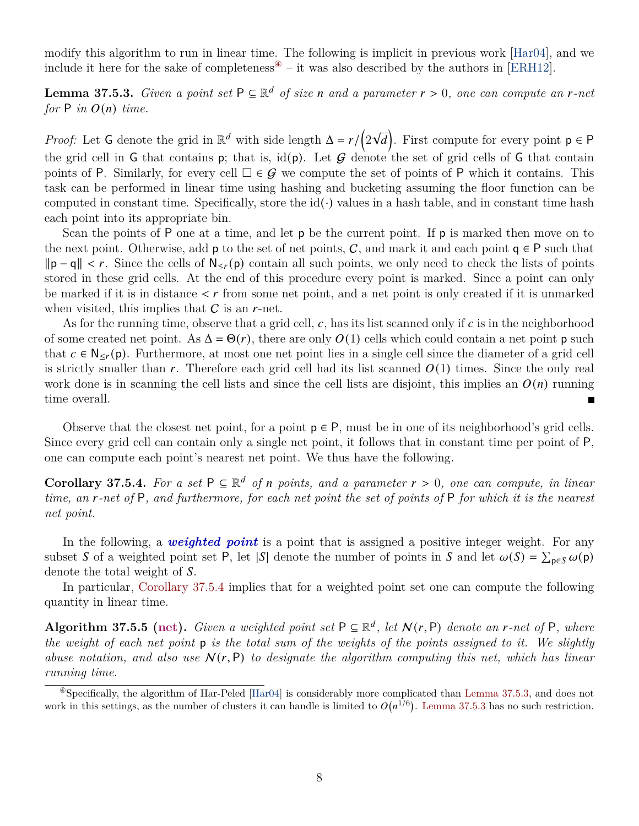modify this algorithm to run in linear time. The following is implicit in previous work [\[Har04\]](#page-9-0), and we include it here for the sake of completeness<sup> $\mathcal{F}$ </sup> – it was also described by the authors in [\[ERH12\]](#page-9-1).

<span id="page-7-2"></span>**Lemma 37.5.3.** *Given a point set*  $P \subseteq \mathbb{R}^d$  *of size n* and a parameter  $r > 0$ , one can compute an *r*-net *for*  $P$  *in*  $O(n)$  *time.* 

*Proof:* Let G denote the grid in  $\mathbb{R}^d$  with side length  $\Delta = r/(2)$ √  $\overline{d}$ . First compute for every point  $p \in P$ the grid cell in G that contains p; that is, id(p). Let  $G$  denote the set of grid cells of G that contain points of P. Similarly, for every cell  $\Box \in \mathcal{G}$  we compute the set of points of P which it contains. This task can be performed in linear time using hashing and bucketing assuming the floor function can be computed in constant time. Specifically, store the  $id(\cdot)$  values in a hash table, and in constant time hash each point into its appropriate bin.

Scan the points of P one at a time, and let  $p$  be the current point. If p is marked then move on to the next point. Otherwise, add **p** to the set of net points, C, and mark it and each point  $q \in P$  such that  $\|\mathbf{p} - \mathbf{q}\| < r$ . Since the cells of  $\mathsf{N}_{\leq r}(\mathbf{p})$  contain all such points, we only need to check the lists of points stored in these grid cells. At the end of this procedure every point is marked. Since a point can only be marked if it is in distance  $\lt r$  from some net point, and a net point is only created if it is unmarked when visited, this implies that  $C$  is an  $r$ -net.

As for the running time, observe that a grid cell,  $c$ , has its list scanned only if  $c$  is in the neighborhood of some created net point. As  $\Delta = \Theta(r)$ , there are only  $O(1)$  cells which could contain a net point p such that  $c \in N_{\leq r}(p)$ . Furthermore, at most one net point lies in a single cell since the diameter of a grid cell is strictly smaller than r. Therefore each grid cell had its list scanned  $O(1)$  times. Since the only real work done is in scanning the cell lists and since the cell lists are disjoint, this implies an  $O(n)$  running time overall.  $\blacksquare$ 

Observe that the closest net point, for a point  $p \in P$ , must be in one of its neighborhood's grid cells. Since every grid cell can contain only a single net point, it follows that in constant time per point of P, one can compute each point's nearest net point. We thus have the following.

<span id="page-7-1"></span>**Corollary 37.5.4.** For a set  $P \subseteq \mathbb{R}^d$  of *n* points, and a parameter  $r > 0$ , one can compute, in linear *time, an -net of* P*, and furthermore, for each net point the set of points of* P *for which it is the nearest net point.*

In the following, a *weighted point* is a point that is assigned a positive integer weight. For any subset S of a weighted point set P, let  $|S|$  denote the number of points in S and let  $\omega(S) = \sum_{p \in S} \omega(p)$ denote the total weight of S.

In particular, [Corollary 37.5.4](#page-7-1) implies that for a weighted point set one can compute the following quantity in linear time.

**Algorithm 37.5.5 (net).** *Given a weighted point set*  $P \subseteq \mathbb{R}^d$ , *let*  $N(r, P)$  *denote an r*-net of P, where *the weight of each net point* p *is the total sum of the weights of the points assigned to it. We slightly abuse notation, and also use*  $N(r, P)$  *to designate the algorithm computing this net, which has linear running time.*

<span id="page-7-3"></span><span id="page-7-0"></span> $\degree$ Specifically, the algorithm of Har-Peled [\[Har04\]](#page-9-0) is considerably more complicated than [Lemma 37.5.3,](#page-7-2) and does not work in this settings, as the number of clusters it can handle is limited to  $O(n^{1/6})$ . [Lemma 37.5.3](#page-7-2) has no such restriction.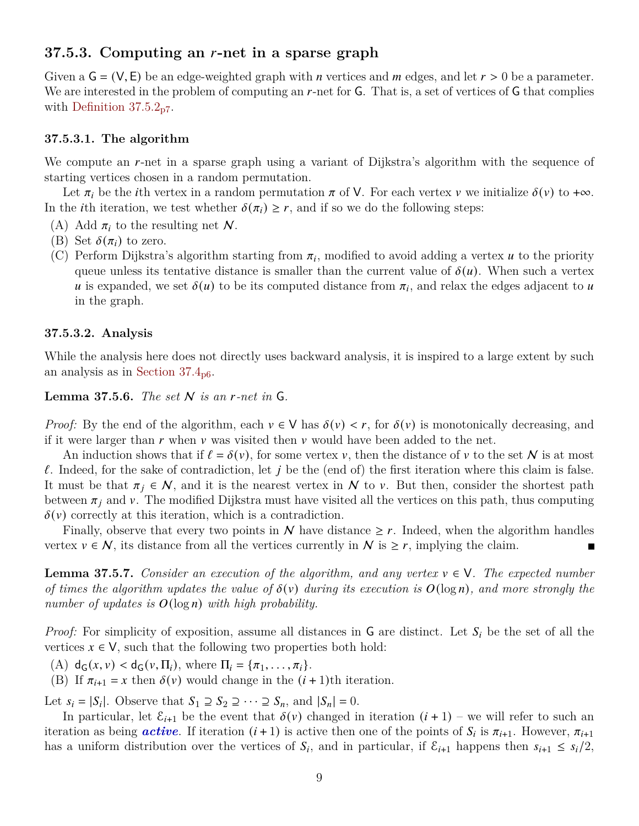## **37.5.3. Computing an -net in a sparse graph**

Given a  $\mathsf{G} = (\mathsf{V}, \mathsf{E})$  be an edge-weighted graph with *n* vertices and *m* edges, and let  $r > 0$  be a parameter. We are interested in the problem of computing an  $r$ -net for  $G$ . That is, a set of vertices of  $G$  that complies with Definition  $37.5.2_{p7}$  $37.5.2_{p7}$  $37.5.2_{p7}$ .

#### **37.5.3.1. The algorithm**

We compute an  $r$ -net in a sparse graph using a variant of Dijkstra's algorithm with the sequence of starting vertices chosen in a random permutation.

Let  $\pi_i$  be the *i*th vertex in a random permutation  $\pi$  of V. For each vertex  $\nu$  we initialize  $\delta(\nu)$  to + $\infty$ . In the *i*th iteration, we test whether  $\delta(\pi_i) \geq r$ , and if so we do the following steps:

- (A) Add  $\pi_i$  to the resulting net N.
- (B) Set  $\delta(\pi_i)$  to zero.
- (C) Perform Dijkstra's algorithm starting from  $\pi_i$ , modified to avoid adding a vertex *u* to the priority queue unless its tentative distance is smaller than the current value of  $\delta(u)$ . When such a vertex u is expanded, we set  $\delta(u)$  to be its computed distance from  $\pi_i$ , and relax the edges adjacent to u in the graph.

#### **37.5.3.2. Analysis**

While the analysis here does not directly uses backward analysis, it is inspired to a large extent by such an analysis as in Section  $37.4_{\text{p6}}$  $37.4_{\text{p6}}$  $37.4_{\text{p6}}$ .

**Lemma 37.5.6.** *The set*  $N$  *is an r-net in*  $G$ *.* 

*Proof:* By the end of the algorithm, each  $v \in V$  has  $\delta(v) < r$ , for  $\delta(v)$  is monotonically decreasing, and if it were larger than  $r$  when  $\nu$  was visited then  $\nu$  would have been added to the net.

An induction shows that if  $\ell = \delta(v)$ , for some vertex v, then the distance of v to the set N is at most  $\ell$ . Indeed, for the sake of contradiction, let j be the (end of) the first iteration where this claim is false. It must be that  $\pi_j \in \mathcal{N}$ , and it is the nearest vertex in  $\mathcal N$  to  $\nu$ . But then, consider the shortest path between  $\pi_i$  and v. The modified Dijkstra must have visited all the vertices on this path, thus computing  $\delta(v)$  correctly at this iteration, which is a contradiction.

Finally, observe that every two points in  $N$  have distance  $\geq r$ . Indeed, when the algorithm handles vertex  $v \in \mathcal{N}$ , its distance from all the vertices currently in  $\mathcal{N}$  is  $\geq r$ , implying the claim.

<span id="page-8-0"></span>**Lemma 37.5.7.** *Consider an execution of the algorithm, and any vertex*  $v \in V$ *. The expected number of times the algorithm updates the value of*  $\delta(v)$  *during its execution is*  $O(\log n)$ *, and more strongly the number of updates is*  $O(\log n)$  *with high probability.* 

*Proof:* For simplicity of exposition, assume all distances in  $G$  are distinct. Let  $S_i$  be the set of all the vertices  $x \in V$ , such that the following two properties both hold:

(A)  $d_G(x, v) < d_G(v, \Pi_i)$ , where  $\Pi_i = {\pi_1, \dots, \pi_i}.$ 

(B) If  $\pi_{i+1} = x$  then  $\delta(v)$  would change in the  $(i + 1)$ th iteration.

Let  $s_i = |S_i|$ . Observe that  $S_1 \supseteq S_2 \supseteq \cdots \supseteq S_n$ , and  $|S_n| = 0$ .

In particular, let  $\mathcal{E}_{i+1}$  be the event that  $\delta(v)$  changed in iteration  $(i + 1)$  – we will refer to such an iteration as being *active*. If iteration  $(i + 1)$  is active then one of the points of  $S_i$  is  $\pi_{i+1}$ . However,  $\pi_{i+1}$ has a uniform distribution over the vertices of  $S_i$ , and in particular, if  $\mathcal{E}_{i+1}$  happens then  $s_{i+1} \leq s_i/2$ ,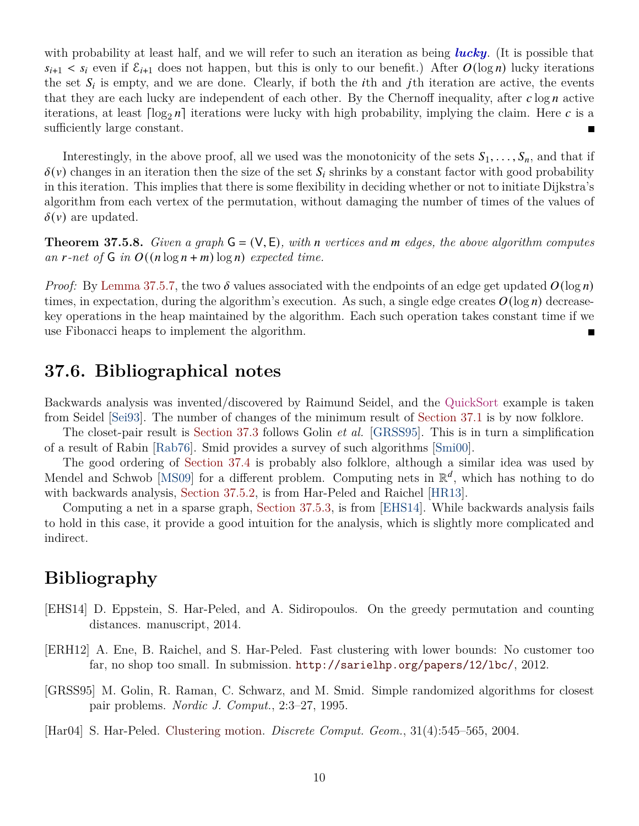with probability at least half, and we will refer to such an iteration as being *lucky*. (It is possible that  $s_{i+1} < s_i$  even if  $\mathcal{E}_{i+1}$  does not happen, but this is only to our benefit.) After  $O(\log n)$  lucky iterations the set  $S_i$  is empty, and we are done. Clearly, if both the *i*th and *j*th iteration are active, the events that they are each lucky are independent of each other. By the Chernoff inequality, after  $c \log n$  active iterations, at least  $\lceil \log_2 n \rceil$  iterations were lucky with high probability, implying the claim. Here c is a sufficiently large constant.

Interestingly, in the above proof, all we used was the monotonicity of the sets  $S_1, \ldots, S_n$ , and that if  $\delta(v)$  changes in an iteration then the size of the set  $S_i$  shrinks by a constant factor with good probability in this iteration. This implies that there is some flexibility in deciding whether or not to initiate Dijkstra's algorithm from each vertex of the permutation, without damaging the number of times of the values of  $\delta(v)$  are updated.

**Theorem 37.5.8.** *Given a graph*  $G = (V, E)$ *, with n* vertices and *m* edges, the above algorithm computes *an*  $r$ -net of  $G$  in  $O((n \log n + m) \log n)$  expected time.

*Proof:* By [Lemma 37.5.7,](#page-8-0) the two  $\delta$  values associated with the endpoints of an edge get updated  $O(\log n)$ times, in expectation, during the algorithm's execution. As such, a single edge creates  $O(\log n)$  decreasekey operations in the heap maintained by the algorithm. Each such operation takes constant time if we use Fibonacci heaps to implement the algorithm.

## **37.6. Bibliographical notes**

Backwards analysis was invented/discovered by Raimund Seidel, and the QuickSort example is taken from Seidel [\[Sei93\]](#page-10-0). The number of changes of the minimum result of [Section 37.1](#page-0-4) is by now folklore.

The closet-pair result is [Section 37.3](#page-1-0) follows Golin *et al.* [\[GRSS95\]](#page-9-2). This is in turn a simplification of a result of Rabin [\[Rab76\]](#page-10-1). Smid provides a survey of such algorithms [\[Smi00\]](#page-10-2).

The good ordering of [Section 37.4](#page-5-0) is probably also folklore, although a similar idea was used by Mendel and Schwob [\[MS09\]](#page-10-3) for a different problem. Computing nets in  $\mathbb{R}^d$ , which has nothing to do with backwards analysis, [Section 37.5.2,](#page-6-1) is from Har-Peled and Raichel [\[HR13\]](#page-10-4).

Computing a net in a sparse graph, [Section 37.5.3,](#page-7-3) is from [\[EHS14\]](#page-9-3). While backwards analysis fails to hold in this case, it provide a good intuition for the analysis, which is slightly more complicated and indirect.

# **Bibliography**

- <span id="page-9-3"></span>[EHS14] [D. Eppstein,](http://www.ics.uci.edu/~eppstein/) S. Har-Peled, and A. Sidiropoulos. On the greedy permutation and counting distances. manuscript, 2014.
- <span id="page-9-1"></span>[ERH12] A. Ene, B. Raichel, and S. Har-Peled. Fast clustering with lower bounds: No customer too far, no shop too small. In submission. <http://sarielhp.org/papers/12/lbc/>, 2012.
- <span id="page-9-2"></span>[GRSS95] M. Golin, R. Raman, C. Schwarz, and M. Smid. Simple randomized algorithms for closest pair problems. *Nordic J. Comput.*, 2:3–27, 1995.
- <span id="page-9-0"></span>[Har04] S. Har-Peled. [Clustering motion.](http://cs.uiuc.edu/~sariel/research/papers/01/cluster/) *[Discrete Comput. Geom.](http://link.springer.com/journal/454)*, 31(4):545–565, 2004.